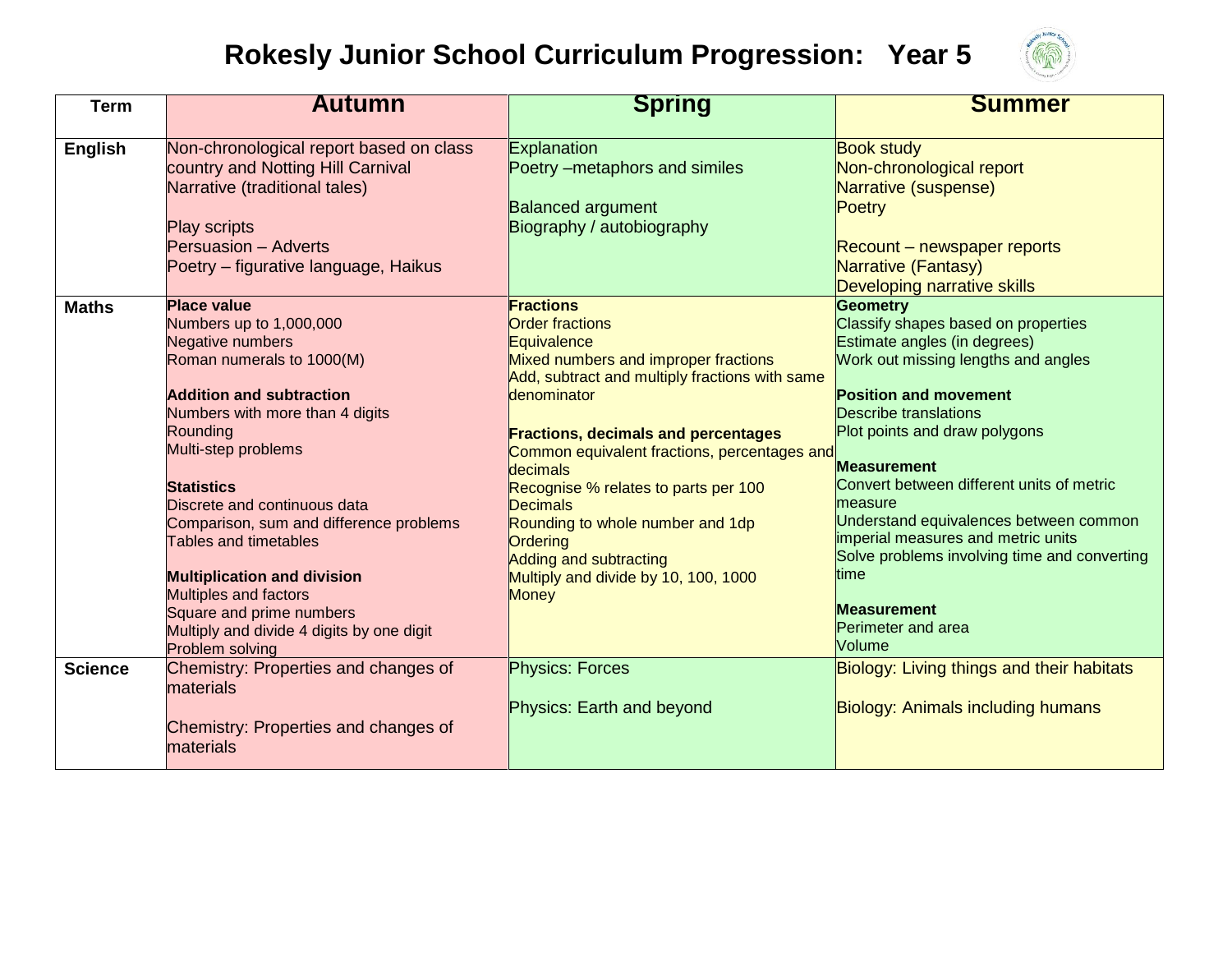## **Rokesly Junior School Curriculum Progression: Year 5**



| <b>Term</b>    | <b>Autumn</b>                                                                                                                                                                                                                                                                                                                                                                                                                                                                                      | <b>Spring</b>                                                                                                                                                                                                                                                                                                                                                                                                                                                                    | <b>Summer</b>                                                                                                                                                                                                                                                                                                                                                                                                                                                                                                     |
|----------------|----------------------------------------------------------------------------------------------------------------------------------------------------------------------------------------------------------------------------------------------------------------------------------------------------------------------------------------------------------------------------------------------------------------------------------------------------------------------------------------------------|----------------------------------------------------------------------------------------------------------------------------------------------------------------------------------------------------------------------------------------------------------------------------------------------------------------------------------------------------------------------------------------------------------------------------------------------------------------------------------|-------------------------------------------------------------------------------------------------------------------------------------------------------------------------------------------------------------------------------------------------------------------------------------------------------------------------------------------------------------------------------------------------------------------------------------------------------------------------------------------------------------------|
| <b>English</b> | Non-chronological report based on class<br>country and Notting Hill Carnival<br>Narrative (traditional tales)<br><b>Play scripts</b><br><b>Persuasion - Adverts</b><br>Poetry – figurative language, Haikus                                                                                                                                                                                                                                                                                        | Explanation<br>Poetry - metaphors and similes<br><b>Balanced argument</b><br>Biography / autobiography                                                                                                                                                                                                                                                                                                                                                                           | <b>Book study</b><br>Non-chronological report<br>Narrative (suspense)<br>Poetry<br>Recount – newspaper reports<br>Narrative (Fantasy)<br>Developing narrative skills                                                                                                                                                                                                                                                                                                                                              |
| <b>Maths</b>   | <b>Place value</b><br>Numbers up to 1,000,000<br>Negative numbers<br>Roman numerals to 1000(M)<br><b>Addition and subtraction</b><br>Numbers with more than 4 digits<br>Rounding<br>Multi-step problems<br><b>Statistics</b><br>Discrete and continuous data<br>Comparison, sum and difference problems<br>Tables and timetables<br><b>Multiplication and division</b><br><b>Multiples and factors</b><br>Square and prime numbers<br>Multiply and divide 4 digits by one digit<br>Problem solving | <b>Fractions</b><br><b>Order fractions</b><br>Equivalence<br>Mixed numbers and improper fractions<br>Add, subtract and multiply fractions with same<br>denominator<br><b>Fractions, decimals and percentages</b><br>Common equivalent fractions, percentages and<br>decimals<br>Recognise % relates to parts per 100<br><b>Decimals</b><br>Rounding to whole number and 1dp<br><b>Ordering</b><br>Adding and subtracting<br>Multiply and divide by 10, 100, 1000<br><b>Money</b> | <b>Geometry</b><br>Classify shapes based on properties<br>Estimate angles (in degrees)<br>Work out missing lengths and angles<br><b>Position and movement</b><br><b>Describe translations</b><br>Plot points and draw polygons<br><b>Measurement</b><br>Convert between different units of metric<br>measure<br>Understand equivalences between common<br>imperial measures and metric units<br>Solve problems involving time and converting<br>time<br><b>Measurement</b><br><b>Perimeter and area</b><br>Volume |
| <b>Science</b> | Chemistry: Properties and changes of<br>materials<br>Chemistry: Properties and changes of<br>materials                                                                                                                                                                                                                                                                                                                                                                                             | <b>Physics: Forces</b><br>Physics: Earth and beyond                                                                                                                                                                                                                                                                                                                                                                                                                              | Biology: Living things and their habitats<br><b>Biology: Animals including humans</b>                                                                                                                                                                                                                                                                                                                                                                                                                             |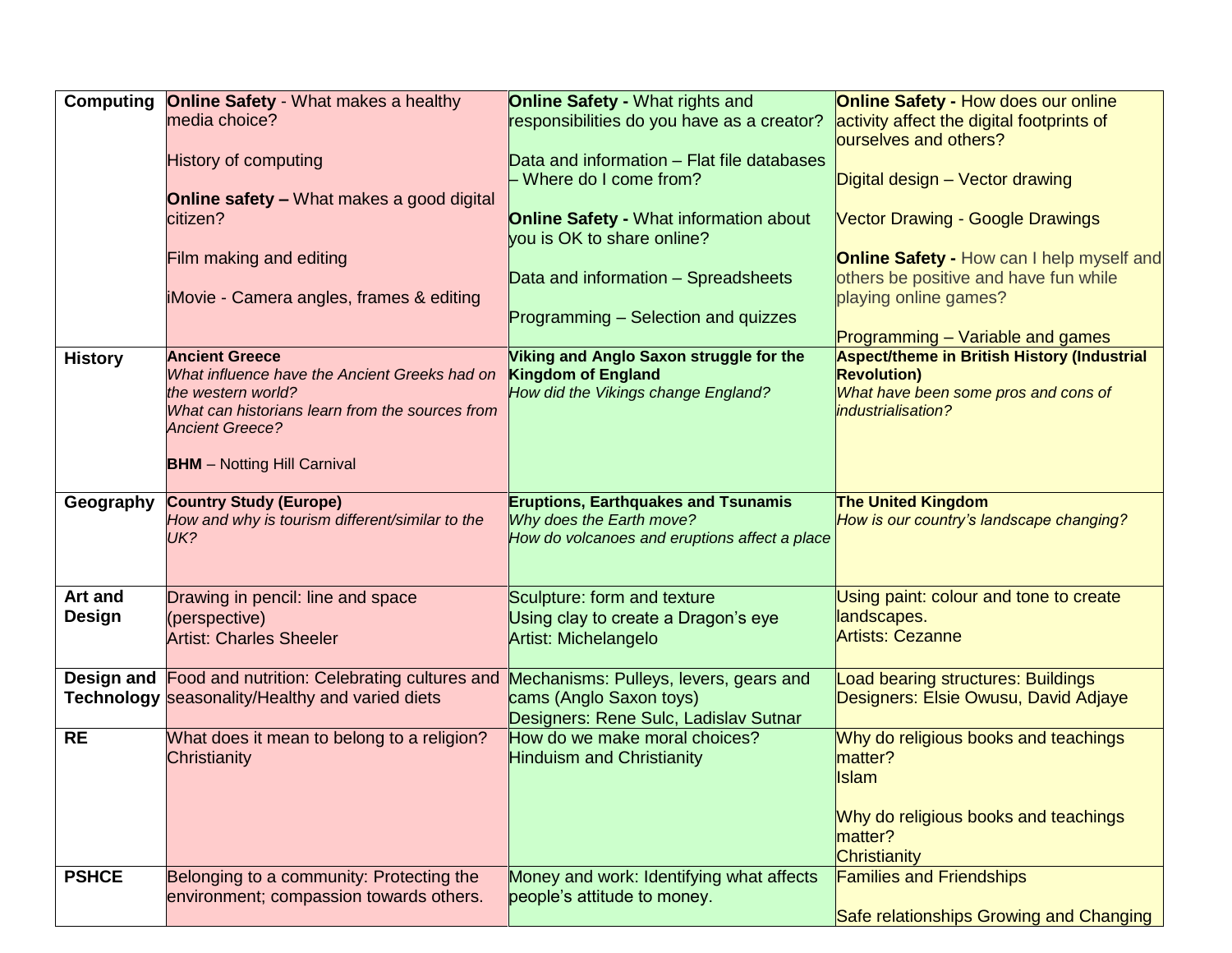| Computing      | <b>Online Safety - What makes a healthy</b>                                      | <b>Online Safety - What rights and</b>                                      | <b>Online Safety - How does our online</b>                            |
|----------------|----------------------------------------------------------------------------------|-----------------------------------------------------------------------------|-----------------------------------------------------------------------|
|                | media choice?                                                                    | responsibilities do you have as a creator?                                  | activity affect the digital footprints of                             |
|                |                                                                                  |                                                                             | ourselves and others?                                                 |
|                | <b>History of computing</b>                                                      | Data and information - Flat file databases                                  |                                                                       |
|                |                                                                                  | Where do I come from?                                                       | Digital design - Vector drawing                                       |
|                | <b>Online safety - What makes a good digital</b>                                 |                                                                             |                                                                       |
|                | citizen?                                                                         | <b>Online Safety - What information about</b><br>vou is OK to share online? | <b>Vector Drawing - Google Drawings</b>                               |
|                | Film making and editing                                                          |                                                                             | <b>Online Safety - How can I help myself and</b>                      |
|                |                                                                                  | Data and information - Spreadsheets                                         | others be positive and have fun while                                 |
|                | iMovie - Camera angles, frames & editing                                         |                                                                             | playing online games?                                                 |
|                |                                                                                  | Programming – Selection and quizzes                                         |                                                                       |
|                |                                                                                  |                                                                             | Programming – Variable and games                                      |
| <b>History</b> | <b>Ancient Greece</b>                                                            | Viking and Anglo Saxon struggle for the                                     | <b>Aspect/theme in British History (Industrial</b>                    |
|                | What influence have the Ancient Greeks had on                                    | <b>Kingdom of England</b>                                                   | <b>Revolution)</b>                                                    |
|                | the western world?<br>What can historians learn from the sources from            | How did the Vikings change England?                                         | What have been some pros and cons of<br>industrialisation?            |
|                | <b>Ancient Greece?</b>                                                           |                                                                             |                                                                       |
|                |                                                                                  |                                                                             |                                                                       |
|                | <b>BHM</b> - Notting Hill Carnival                                               |                                                                             |                                                                       |
|                |                                                                                  |                                                                             |                                                                       |
| Geography      | <b>Country Study (Europe)</b><br>How and why is tourism different/similar to the | <b>Eruptions, Earthquakes and Tsunamis</b><br>Why does the Earth move?      | <b>The United Kingdom</b><br>How is our country's landscape changing? |
|                | UK?                                                                              | How do volcanoes and eruptions affect a place                               |                                                                       |
|                |                                                                                  |                                                                             |                                                                       |
|                |                                                                                  |                                                                             |                                                                       |
| Art and        | Drawing in pencil: line and space                                                | Sculpture: form and texture                                                 | Using paint: colour and tone to create                                |
| <b>Design</b>  | (perspective)                                                                    | Using clay to create a Dragon's eye                                         | landscapes.                                                           |
|                | <b>Artist: Charles Sheeler</b>                                                   | <b>Artist: Michelangelo</b>                                                 | <b>Artists: Cezanne</b>                                               |
|                |                                                                                  |                                                                             |                                                                       |
|                | <b>Design and Food and nutrition: Celebrating cultures and</b>                   | Mechanisms: Pulleys, levers, gears and                                      | Load bearing structures: Buildings                                    |
|                | Technology seasonality/Healthy and varied diets                                  | cams (Anglo Saxon toys)                                                     | Designers: Elsie Owusu, David Adjaye                                  |
| <b>RE</b>      | What does it mean to belong to a religion?                                       | Designers: Rene Sulc, Ladislav Sutnar<br>How do we make moral choices?      | Why do religious books and teachings                                  |
|                | Christianity                                                                     | <b>Hinduism and Christianity</b>                                            | matter?                                                               |
|                |                                                                                  |                                                                             | <b>Islam</b>                                                          |
|                |                                                                                  |                                                                             |                                                                       |
|                |                                                                                  |                                                                             | Why do religious books and teachings                                  |
|                |                                                                                  |                                                                             | matter?                                                               |
|                |                                                                                  |                                                                             | Christianity                                                          |
| <b>PSHCE</b>   | Belonging to a community: Protecting the                                         | Money and work: Identifying what affects                                    | <b>Families and Friendships</b>                                       |
|                | environment; compassion towards others.                                          | people's attitude to money.                                                 |                                                                       |
|                |                                                                                  |                                                                             | Safe relationships Growing and Changing                               |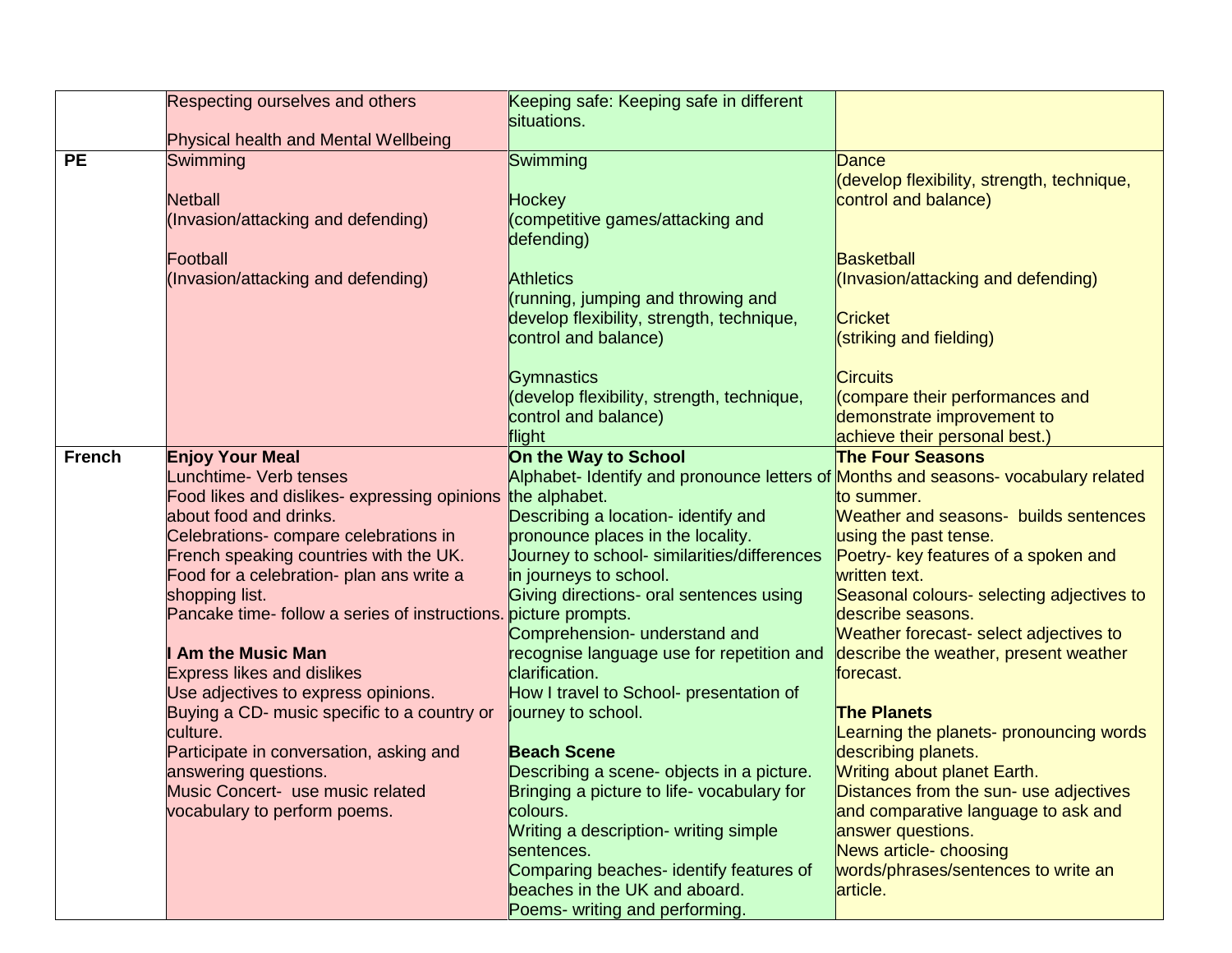|               | Respecting ourselves and others                                                 | Keeping safe: Keeping safe in different<br>situations.                             |                                                       |
|---------------|---------------------------------------------------------------------------------|------------------------------------------------------------------------------------|-------------------------------------------------------|
|               | Physical health and Mental Wellbeing                                            |                                                                                    |                                                       |
| <b>PE</b>     | Swimming                                                                        | Swimming                                                                           | Dance                                                 |
|               |                                                                                 |                                                                                    | (develop flexibility, strength, technique,            |
|               | <b>Netball</b>                                                                  | <b>Hockey</b>                                                                      | control and balance)                                  |
|               | (Invasion/attacking and defending)                                              | (competitive games/attacking and                                                   |                                                       |
|               |                                                                                 | defending)                                                                         |                                                       |
|               | Football                                                                        |                                                                                    | <b>Basketball</b>                                     |
|               | (Invasion/attacking and defending)                                              | <b>Athletics</b>                                                                   | (Invasion/attacking and defending)                    |
|               |                                                                                 | (running, jumping and throwing and                                                 |                                                       |
|               |                                                                                 | develop flexibility, strength, technique,                                          | <b>Cricket</b>                                        |
|               |                                                                                 | control and balance)                                                               | (striking and fielding)                               |
|               |                                                                                 |                                                                                    |                                                       |
|               |                                                                                 | Gymnastics                                                                         | <b>Circuits</b>                                       |
|               |                                                                                 | (develop flexibility, strength, technique,                                         | compare their performances and                        |
|               |                                                                                 | control and balance)                                                               | demonstrate improvement to                            |
|               |                                                                                 | flight                                                                             | achieve their personal best.)                         |
| <b>French</b> | <b>Enjoy Your Meal</b>                                                          | On the Way to School                                                               | <b>The Four Seasons</b>                               |
|               | <b>Lunchtime- Verb tenses</b>                                                   | Alphabet- Identify and pronounce letters of Months and seasons- vocabulary related |                                                       |
|               | Food likes and dislikes- expressing opinions                                    | the alphabet.                                                                      | to summer.                                            |
|               | about food and drinks.                                                          | Describing a location- identify and                                                | <b>Weather and seasons- builds sentences</b>          |
|               | Celebrations- compare celebrations in<br>French speaking countries with the UK. | pronounce places in the locality.                                                  | using the past tense.                                 |
|               | Food for a celebration- plan ans write a                                        | Journey to school- similarities/differences<br>in journeys to school.              | Poetry- key features of a spoken and<br>written text. |
|               | shopping list.                                                                  | Giving directions- oral sentences using                                            | Seasonal colours- selecting adjectives to             |
|               | Pancake time- follow a series of instructions.                                  | picture prompts.                                                                   | describe seasons.                                     |
|               |                                                                                 | Comprehension- understand and                                                      | Weather forecast- select adjectives to                |
|               | <b>Am the Music Man</b>                                                         | recognise language use for repetition and                                          | describe the weather, present weather                 |
|               | <b>Express likes and dislikes</b>                                               | clarification.                                                                     | forecast.                                             |
|               | Use adjectives to express opinions.                                             | How I travel to School- presentation of                                            |                                                       |
|               | Buying a CD- music specific to a country or                                     | journey to school.                                                                 | <b>The Planets</b>                                    |
|               | culture.                                                                        |                                                                                    | Learning the planets- pronouncing words               |
|               | Participate in conversation, asking and                                         | <b>Beach Scene</b>                                                                 | describing planets.                                   |
|               | answering questions.                                                            | Describing a scene- objects in a picture.                                          | <b>Writing about planet Earth.</b>                    |
|               | Music Concert- use music related                                                | Bringing a picture to life- vocabulary for                                         | Distances from the sun- use adjectives                |
|               | vocabulary to perform poems.                                                    | colours.                                                                           | and comparative language to ask and                   |
|               |                                                                                 | Writing a description- writing simple                                              | answer questions.                                     |
|               |                                                                                 | sentences.                                                                         | News article- choosing                                |
|               |                                                                                 | Comparing beaches- identify features of                                            | words/phrases/sentences to write an                   |
|               |                                                                                 | beaches in the UK and aboard.                                                      | article.                                              |
|               |                                                                                 | Poems- writing and performing.                                                     |                                                       |